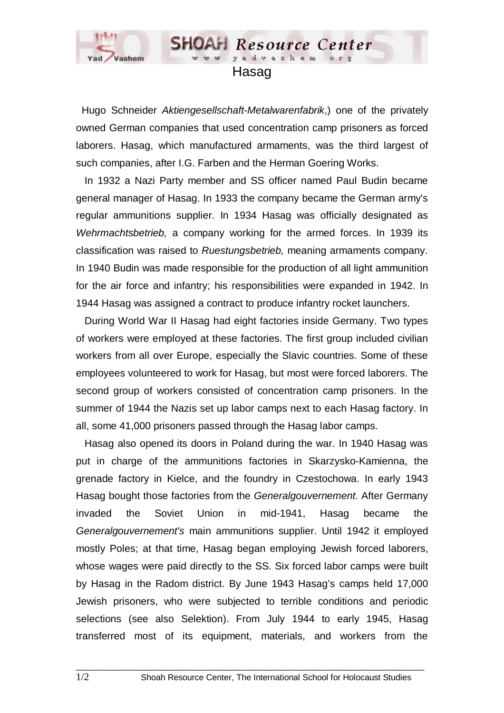

## Hasag

www.yadvashem.

**SHOAH** Resource Center

 Hugo Schneider *Aktiengesellschaft-Metalwarenfabrik*,) one of the privately owned German companies that used concentration camp prisoners as forced laborers. Hasag, which manufactured armaments, was the third largest of such companies, after I.G. Farben and the Herman Goering Works.

 In 1932 a Nazi Party member and SS officer named Paul Budin became general manager of Hasag. In 1933 the company became the German army's regular ammunitions supplier. In 1934 Hasag was officially designated as *Wehrmachtsbetrieb,* a company working for the armed forces. In 1939 its classification was raised to *Ruestungsbetrieb,* meaning armaments company. In 1940 Budin was made responsible for the production of all light ammunition for the air force and infantry; his responsibilities were expanded in 1942. In 1944 Hasag was assigned a contract to produce infantry rocket launchers.

 During World War II Hasag had eight factories inside Germany. Two types of workers were employed at these factories. The first group included civilian workers from all over Europe, especially the Slavic countries. Some of these employees volunteered to work for Hasag, but most were forced laborers. The second group of workers consisted of concentration camp prisoners. In the summer of 1944 the Nazis set up labor camps next to each Hasag factory. In all, some 41,000 prisoners passed through the Hasag labor camps.

 Hasag also opened its doors in Poland during the war. In 1940 Hasag was put in charge of the ammunitions factories in Skarzysko-Kamienna, the grenade factory in Kielce, and the foundry in Czestochowa. In early 1943 Hasag bought those factories from the *Generalgouvernement*. After Germany invaded the Soviet Union in mid-1941, Hasag became the *Generalgouvernement's* main ammunitions supplier. Until 1942 it employed mostly Poles; at that time, Hasag began employing Jewish forced laborers, whose wages were paid directly to the SS. Six forced labor camps were built by Hasag in the Radom district. By June 1943 Hasag's camps held 17,000 Jewish prisoners, who were subjected to terrible conditions and periodic selections (see also Selektion). From July 1944 to early 1945, Hasag transferred most of its equipment, materials, and workers from the

 $\_$  ,  $\_$  ,  $\_$  ,  $\_$  ,  $\_$  ,  $\_$  ,  $\_$  ,  $\_$  ,  $\_$  ,  $\_$  ,  $\_$  ,  $\_$  ,  $\_$  ,  $\_$  ,  $\_$  ,  $\_$  ,  $\_$  ,  $\_$  ,  $\_$